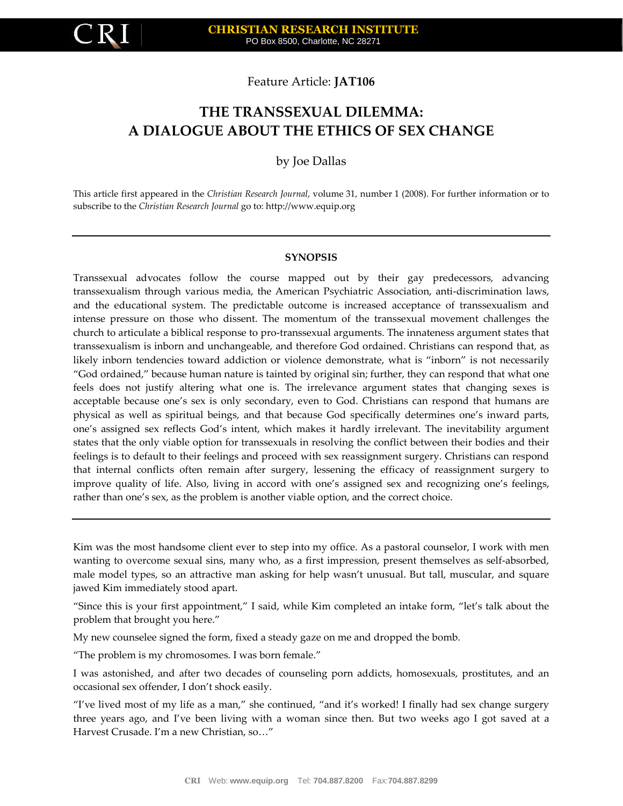

Feature Article: **JAT106**

# **THE TRANSSEXUAL DILEMMA: A DIALOGUE ABOUT THE ETHICS OF SEX CHANGE**

by Joe Dallas

This article first appeared in the *Christian Research Journal*, volume 31, number 1 (2008). For further information or to subscribe to the *Christian Research Journal* go to: http://www.equip.org

#### **SYNOPSIS**

Transsexual advocates follow the course mapped out by their gay predecessors, advancing transsexualism through various media, the American Psychiatric Association, anti-discrimination laws, and the educational system. The predictable outcome is increased acceptance of transsexualism and intense pressure on those who dissent. The momentum of the transsexual movement challenges the church to articulate a biblical response to pro-transsexual arguments. The innateness argument states that transsexualism is inborn and unchangeable, and therefore God ordained. Christians can respond that, as likely inborn tendencies toward addiction or violence demonstrate, what is "inborn" is not necessarily "God ordained," because human nature is tainted by original sin; further, they can respond that what one feels does not justify altering what one is. The irrelevance argument states that changing sexes is acceptable because one's sex is only secondary, even to God. Christians can respond that humans are physical as well as spiritual beings, and that because God specifically determines one's inward parts, one's assigned sex reflects God's intent, which makes it hardly irrelevant. The inevitability argument states that the only viable option for transsexuals in resolving the conflict between their bodies and their feelings is to default to their feelings and proceed with sex reassignment surgery. Christians can respond that internal conflicts often remain after surgery, lessening the efficacy of reassignment surgery to improve quality of life. Also, living in accord with one's assigned sex and recognizing one's feelings, rather than one's sex, as the problem is another viable option, and the correct choice.

Kim was the most handsome client ever to step into my office. As a pastoral counselor, I work with men wanting to overcome sexual sins, many who, as a first impression, present themselves as self-absorbed, male model types, so an attractive man asking for help wasn't unusual. But tall, muscular, and square jawed Kim immediately stood apart.

"Since this is your first appointment," I said, while Kim completed an intake form, "let's talk about the problem that brought you here."

My new counselee signed the form, fixed a steady gaze on me and dropped the bomb.

"The problem is my chromosomes. I was born female."

I was astonished, and after two decades of counseling porn addicts, homosexuals, prostitutes, and an occasional sex offender, I don't shock easily.

"I've lived most of my life as a man," she continued, "and it's worked! I finally had sex change surgery three years ago, and I've been living with a woman since then. But two weeks ago I got saved at a Harvest Crusade. I'm a new Christian, so…"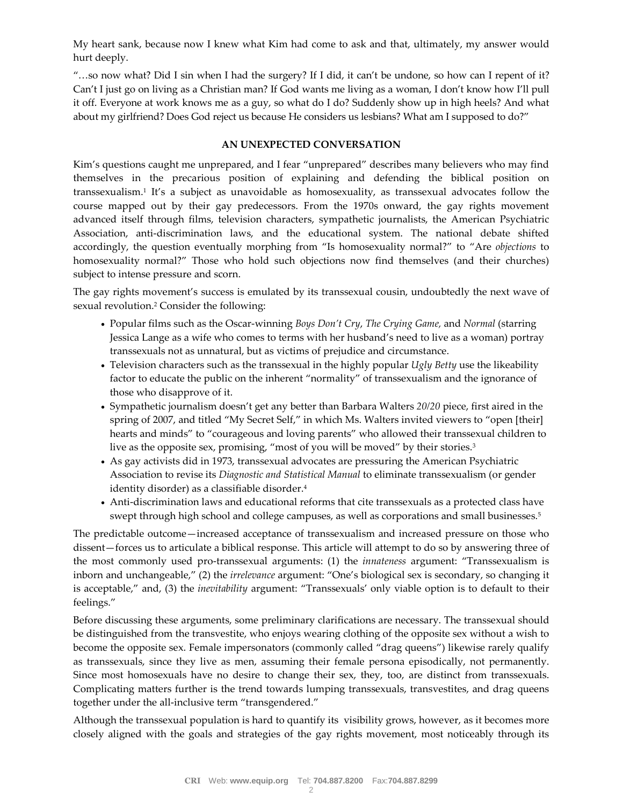My heart sank, because now I knew what Kim had come to ask and that, ultimately, my answer would hurt deeply.

"…so now what? Did I sin when I had the surgery? If I did, it can't be undone, so how can I repent of it? Can't I just go on living as a Christian man? If God wants me living as a woman, I don't know how I'll pull it off. Everyone at work knows me as a guy, so what do I do? Suddenly show up in high heels? And what about my girlfriend? Does God reject us because He considers us lesbians? What am I supposed to do?"

#### **AN UNEXPECTED CONVERSATION**

Kim's questions caught me unprepared, and I fear "unprepared" describes many believers who may find themselves in the precarious position of explaining and defending the biblical position on transsexualism.<sup>1</sup> It's a subject as unavoidable as homosexuality, as transsexual advocates follow the course mapped out by their gay predecessors. From the 1970s onward, the gay rights movement advanced itself through films, television characters, sympathetic journalists, the American Psychiatric Association, anti-discrimination laws, and the educational system. The national debate shifted accordingly, the question eventually morphing from "Is homosexuality normal?" to "Are *objections* to homosexuality normal?" Those who hold such objections now find themselves (and their churches) subject to intense pressure and scorn.

The gay rights movement's success is emulated by its transsexual cousin, undoubtedly the next wave of sexual revolution.<sup>2</sup> Consider the following:

- Popular films such as the Oscar-winning *Boys Don't Cry*, *The Crying Game,* and *Normal* (starring Jessica Lange as a wife who comes to terms with her husband's need to live as a woman) portray transsexuals not as unnatural, but as victims of prejudice and circumstance.
- Television characters such as the transsexual in the highly popular *Ugly Betty* use the likeability factor to educate the public on the inherent "normality" of transsexualism and the ignorance of those who disapprove of it.
- Sympathetic journalism doesn't get any better than Barbara Walters *20/20* piece, first aired in the spring of 2007, and titled "My Secret Self," in which Ms. Walters invited viewers to "open [their] hearts and minds" to "courageous and loving parents" who allowed their transsexual children to live as the opposite sex, promising, "most of you will be moved" by their stories.<sup>3</sup>
- As gay activists did in 1973, transsexual advocates are pressuring the American Psychiatric Association to revise its *Diagnostic and Statistical Manual* to eliminate transsexualism (or gender identity disorder) as a classifiable disorder.<sup>4</sup>
- Anti-discrimination laws and educational reforms that cite transsexuals as a protected class have swept through high school and college campuses, as well as corporations and small businesses.<sup>5</sup>

The predictable outcome—increased acceptance of transsexualism and increased pressure on those who dissent—forces us to articulate a biblical response. This article will attempt to do so by answering three of the most commonly used pro-transsexual arguments: (1) the *innateness* argument: "Transsexualism is inborn and unchangeable," (2) the *irrelevance* argument: "One's biological sex is secondary, so changing it is acceptable," and, (3) the *inevitability* argument: "Transsexuals' only viable option is to default to their feelings."

Before discussing these arguments, some preliminary clarifications are necessary. The transsexual should be distinguished from the transvestite, who enjoys wearing clothing of the opposite sex without a wish to become the opposite sex. Female impersonators (commonly called "drag queens") likewise rarely qualify as transsexuals, since they live as men, assuming their female persona episodically, not permanently. Since most homosexuals have no desire to change their sex, they, too, are distinct from transsexuals. Complicating matters further is the trend towards lumping transsexuals, transvestites, and drag queens together under the all-inclusive term "transgendered."

Although the transsexual population is hard to quantify its visibility grows, however, as it becomes more closely aligned with the goals and strategies of the gay rights movement, most noticeably through its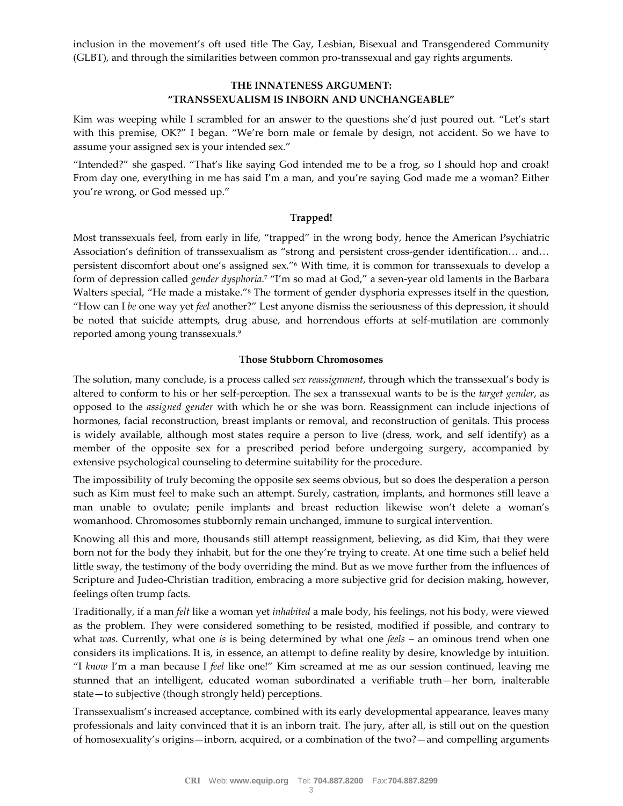inclusion in the movement's oft used title The Gay, Lesbian, Bisexual and Transgendered Community (GLBT), and through the similarities between common pro-transsexual and gay rights arguments.

# **THE INNATENESS ARGUMENT: "TRANSSEXUALISM IS INBORN AND UNCHANGEABLE"**

Kim was weeping while I scrambled for an answer to the questions she'd just poured out. "Let's start with this premise, OK?" I began. "We're born male or female by design, not accident. So we have to assume your assigned sex is your intended sex."

"Intended?" she gasped. "That's like saying God intended me to be a frog, so I should hop and croak! From day one, everything in me has said I'm a man, and you're saying God made me a woman? Either you're wrong, or God messed up."

# **Trapped!**

Most transsexuals feel, from early in life, "trapped" in the wrong body, hence the American Psychiatric Association's definition of transsexualism as "strong and persistent cross-gender identification… and… persistent discomfort about one's assigned sex."<sup>6</sup> With time, it is common for transsexuals to develop a form of depression called *gender dysphoria*. <sup>7</sup> "I'm so mad at God," a seven-year old laments in the Barbara Walters special, "He made a mistake."<sup>8</sup> The torment of gender dysphoria expresses itself in the question, "How can I *be* one way yet *feel* another?" Lest anyone dismiss the seriousness of this depression, it should be noted that suicide attempts, drug abuse, and horrendous efforts at self-mutilation are commonly reported among young transsexuals.<sup>9</sup>

#### **Those Stubborn Chromosomes**

The solution, many conclude, is a process called *sex reassignment*, through which the transsexual's body is altered to conform to his or her self-perception. The sex a transsexual wants to be is the *target gender*, as opposed to the *assigned gender* with which he or she was born. Reassignment can include injections of hormones, facial reconstruction, breast implants or removal, and reconstruction of genitals. This process is widely available, although most states require a person to live (dress, work, and self identify) as a member of the opposite sex for a prescribed period before undergoing surgery, accompanied by extensive psychological counseling to determine suitability for the procedure.

The impossibility of truly becoming the opposite sex seems obvious, but so does the desperation a person such as Kim must feel to make such an attempt. Surely, castration, implants, and hormones still leave a man unable to ovulate; penile implants and breast reduction likewise won't delete a woman's womanhood. Chromosomes stubbornly remain unchanged, immune to surgical intervention.

Knowing all this and more, thousands still attempt reassignment, believing, as did Kim, that they were born not for the body they inhabit, but for the one they're trying to create. At one time such a belief held little sway, the testimony of the body overriding the mind. But as we move further from the influences of Scripture and Judeo-Christian tradition, embracing a more subjective grid for decision making, however, feelings often trump facts.

Traditionally, if a man *felt* like a woman yet *inhabited* a male body, his feelings, not his body, were viewed as the problem. They were considered something to be resisted, modified if possible, and contrary to what *was*. Currently, what one *is* is being determined by what one *feels –* an ominous trend when one considers its implications. It is, in essence, an attempt to define reality by desire, knowledge by intuition. "I *know* I'm a man because I *feel* like one!" Kim screamed at me as our session continued, leaving me stunned that an intelligent, educated woman subordinated a verifiable truth—her born, inalterable state—to subjective (though strongly held) perceptions.

Transsexualism's increased acceptance, combined with its early developmental appearance, leaves many professionals and laity convinced that it is an inborn trait. The jury, after all, is still out on the question of homosexuality's origins—inborn, acquired, or a combination of the two?—and compelling arguments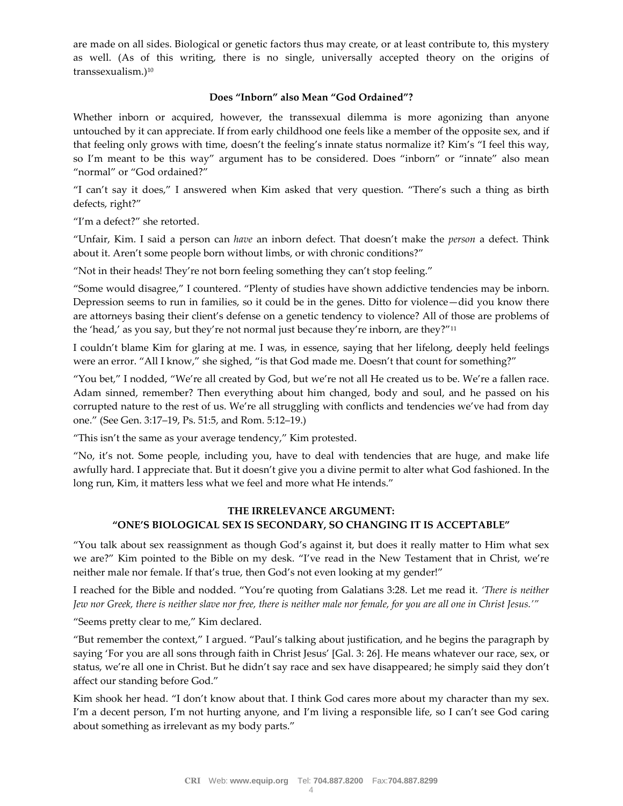are made on all sides. Biological or genetic factors thus may create, or at least contribute to, this mystery as well. (As of this writing, there is no single, universally accepted theory on the origins of transsexualism.)<sup>10</sup>

#### **Does "Inborn" also Mean "God Ordained"?**

Whether inborn or acquired, however, the transsexual dilemma is more agonizing than anyone untouched by it can appreciate. If from early childhood one feels like a member of the opposite sex, and if that feeling only grows with time, doesn't the feeling's innate status normalize it? Kim's "I feel this way, so I'm meant to be this way" argument has to be considered. Does "inborn" or "innate" also mean "normal" or "God ordained?"

"I can't say it does," I answered when Kim asked that very question. "There's such a thing as birth defects, right?"

"I'm a defect?" she retorted.

"Unfair, Kim. I said a person can *have* an inborn defect. That doesn't make the *person* a defect. Think about it. Aren't some people born without limbs, or with chronic conditions?"

"Not in their heads! They're not born feeling something they can't stop feeling."

"Some would disagree," I countered. "Plenty of studies have shown addictive tendencies may be inborn. Depression seems to run in families, so it could be in the genes. Ditto for violence—did you know there are attorneys basing their client's defense on a genetic tendency to violence? All of those are problems of the 'head,' as you say, but they're not normal just because they're inborn, are they?"<sup>11</sup>

I couldn't blame Kim for glaring at me. I was, in essence, saying that her lifelong, deeply held feelings were an error. "All I know," she sighed, "is that God made me. Doesn't that count for something?"

"You bet," I nodded, "We're all created by God, but we're not all He created us to be. We're a fallen race. Adam sinned, remember? Then everything about him changed, body and soul, and he passed on his corrupted nature to the rest of us. We're all struggling with conflicts and tendencies we've had from day one." (See Gen. 3:17–19, Ps. 51:5, and Rom. 5:12–19.)

"This isn't the same as your average tendency," Kim protested.

"No, it's not. Some people, including you, have to deal with tendencies that are huge, and make life awfully hard. I appreciate that. But it doesn't give you a divine permit to alter what God fashioned. In the long run, Kim, it matters less what we feel and more what He intends."

# **THE IRRELEVANCE ARGUMENT: "ONE'S BIOLOGICAL SEX IS SECONDARY, SO CHANGING IT IS ACCEPTABLE"**

"You talk about sex reassignment as though God's against it, but does it really matter to Him what sex we are?" Kim pointed to the Bible on my desk. "I've read in the New Testament that in Christ, we're neither male nor female. If that's true, then God's not even looking at my gender!"

I reached for the Bible and nodded. "You're quoting from Galatians 3:28. Let me read it. *'There is neither Jew nor Greek, there is neither slave nor free, there is neither male nor female, for you are all one in Christ Jesus.'"*

"Seems pretty clear to me," Kim declared.

"But remember the context," I argued. "Paul's talking about justification, and he begins the paragraph by saying 'For you are all sons through faith in Christ Jesus' [Gal. 3: 26]. He means whatever our race, sex, or status, we're all one in Christ. But he didn't say race and sex have disappeared; he simply said they don't affect our standing before God."

Kim shook her head. "I don't know about that. I think God cares more about my character than my sex. I'm a decent person, I'm not hurting anyone, and I'm living a responsible life, so I can't see God caring about something as irrelevant as my body parts."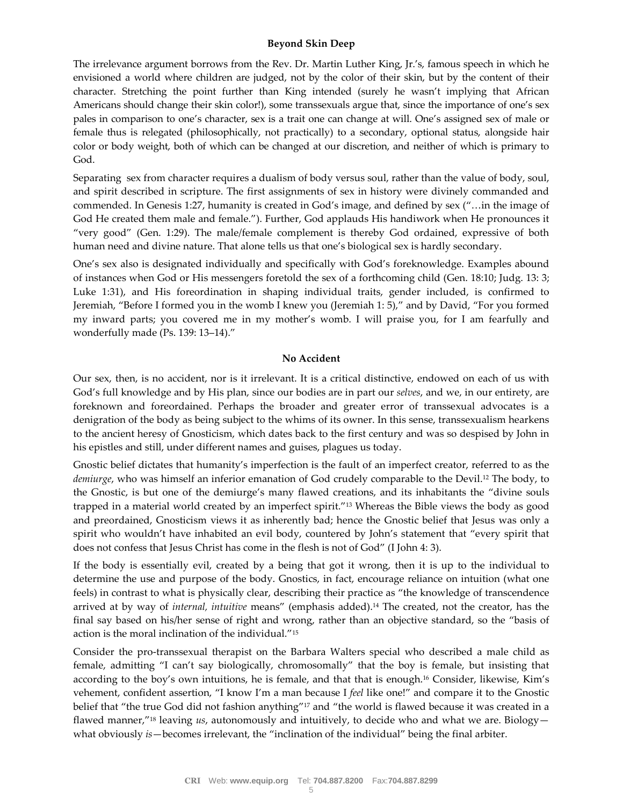#### **Beyond Skin Deep**

The irrelevance argument borrows from the Rev. Dr. Martin Luther King, Jr.'s, famous speech in which he envisioned a world where children are judged, not by the color of their skin, but by the content of their character. Stretching the point further than King intended (surely he wasn't implying that African Americans should change their skin color!), some transsexuals argue that, since the importance of one's sex pales in comparison to one's character, sex is a trait one can change at will. One's assigned sex of male or female thus is relegated (philosophically, not practically) to a secondary, optional status, alongside hair color or body weight, both of which can be changed at our discretion, and neither of which is primary to God.

Separating sex from character requires a dualism of body versus soul, rather than the value of body, soul, and spirit described in scripture. The first assignments of sex in history were divinely commanded and commended. In Genesis 1:27, humanity is created in God's image, and defined by sex ("…in the image of God He created them male and female."). Further, God applauds His handiwork when He pronounces it "very good" (Gen. 1:29). The male/female complement is thereby God ordained, expressive of both human need and divine nature. That alone tells us that one's biological sex is hardly secondary.

One's sex also is designated individually and specifically with God's foreknowledge. Examples abound of instances when God or His messengers foretold the sex of a forthcoming child (Gen. 18:10; Judg. 13: 3; Luke 1:31), and His foreordination in shaping individual traits, gender included, is confirmed to Jeremiah, "Before I formed you in the womb I knew you (Jeremiah 1: 5)," and by David, "For you formed my inward parts; you covered me in my mother's womb. I will praise you, for I am fearfully and wonderfully made (Ps. 139: 13–14)."

#### **No Accident**

Our sex, then, is no accident, nor is it irrelevant. It is a critical distinctive, endowed on each of us with God's full knowledge and by His plan, since our bodies are in part our *selves*, and we, in our entirety, are foreknown and foreordained. Perhaps the broader and greater error of transsexual advocates is a denigration of the body as being subject to the whims of its owner. In this sense, transsexualism hearkens to the ancient heresy of Gnosticism, which dates back to the first century and was so despised by John in his epistles and still, under different names and guises, plagues us today.

Gnostic belief dictates that humanity's imperfection is the fault of an imperfect creator, referred to as the *demiurge*, who was himself an inferior emanation of God crudely comparable to the Devil.<sup>12</sup> The body, to the Gnostic, is but one of the demiurge's many flawed creations, and its inhabitants the "divine souls trapped in a material world created by an imperfect spirit."<sup>13</sup> Whereas the Bible views the body as good and preordained, Gnosticism views it as inherently bad; hence the Gnostic belief that Jesus was only a spirit who wouldn't have inhabited an evil body, countered by John's statement that "every spirit that does not confess that Jesus Christ has come in the flesh is not of God" (I John 4: 3).

If the body is essentially evil, created by a being that got it wrong, then it is up to the individual to determine the use and purpose of the body. Gnostics, in fact, encourage reliance on intuition (what one feels) in contrast to what is physically clear, describing their practice as "the knowledge of transcendence arrived at by way of *internal, intuitive* means" (emphasis added).<sup>14</sup> The created, not the creator, has the final say based on his/her sense of right and wrong, rather than an objective standard, so the "basis of action is the moral inclination of the individual."<sup>15</sup>

Consider the pro-transsexual therapist on the Barbara Walters special who described a male child as female, admitting "I can't say biologically, chromosomally" that the boy is female, but insisting that according to the boy's own intuitions, he is female, and that that is enough.<sup>16</sup> Consider, likewise, Kim's vehement, confident assertion, "I know I'm a man because I *feel* like one!" and compare it to the Gnostic belief that "the true God did not fashion anything"<sup>17</sup> and "the world is flawed because it was created in a flawed manner,"<sup>18</sup> leaving *us*, autonomously and intuitively, to decide who and what we are. Biology what obviously *is*—becomes irrelevant, the "inclination of the individual" being the final arbiter.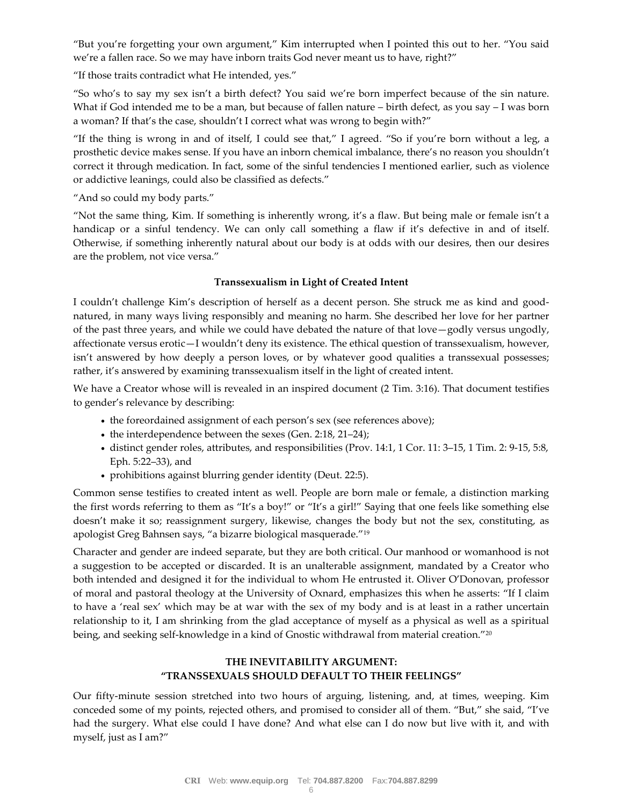"But you're forgetting your own argument," Kim interrupted when I pointed this out to her. "You said we're a fallen race. So we may have inborn traits God never meant us to have, right?"

"If those traits contradict what He intended, yes."

"So who's to say my sex isn't a birth defect? You said we're born imperfect because of the sin nature. What if God intended me to be a man, but because of fallen nature – birth defect, as you say – I was born a woman? If that's the case, shouldn't I correct what was wrong to begin with?"

"If the thing is wrong in and of itself, I could see that," I agreed. "So if you're born without a leg, a prosthetic device makes sense. If you have an inborn chemical imbalance, there's no reason you shouldn't correct it through medication. In fact, some of the sinful tendencies I mentioned earlier, such as violence or addictive leanings, could also be classified as defects."

"And so could my body parts."

"Not the same thing, Kim. If something is inherently wrong, it's a flaw. But being male or female isn't a handicap or a sinful tendency. We can only call something a flaw if it's defective in and of itself. Otherwise, if something inherently natural about our body is at odds with our desires, then our desires are the problem, not vice versa."

# **Transsexualism in Light of Created Intent**

I couldn't challenge Kim's description of herself as a decent person. She struck me as kind and goodnatured, in many ways living responsibly and meaning no harm. She described her love for her partner of the past three years, and while we could have debated the nature of that love—godly versus ungodly, affectionate versus erotic—I wouldn't deny its existence. The ethical question of transsexualism, however, isn't answered by how deeply a person loves, or by whatever good qualities a transsexual possesses; rather, it's answered by examining transsexualism itself in the light of created intent.

We have a Creator whose will is revealed in an inspired document (2 Tim. 3:16). That document testifies to gender's relevance by describing:

- the foreordained assignment of each person's sex (see references above);
- the interdependence between the sexes (Gen. 2:18, 21–24);
- distinct gender roles, attributes, and responsibilities (Prov. 14:1, 1 Cor. 11: 3–15, 1 Tim. 2: 9-15, 5:8, Eph. 5:22–33), and
- prohibitions against blurring gender identity (Deut. 22:5).

Common sense testifies to created intent as well. People are born male or female, a distinction marking the first words referring to them as "It's a boy!" or "It's a girl!" Saying that one feels like something else doesn't make it so; reassignment surgery, likewise, changes the body but not the sex, constituting, as apologist Greg Bahnsen says, "a bizarre biological masquerade."<sup>19</sup>

Character and gender are indeed separate, but they are both critical. Our manhood or womanhood is not a suggestion to be accepted or discarded. It is an unalterable assignment, mandated by a Creator who both intended and designed it for the individual to whom He entrusted it. Oliver O'Donovan, professor of moral and pastoral theology at the University of Oxnard, emphasizes this when he asserts: "If I claim to have a 'real sex' which may be at war with the sex of my body and is at least in a rather uncertain relationship to it, I am shrinking from the glad acceptance of myself as a physical as well as a spiritual being, and seeking self-knowledge in a kind of Gnostic withdrawal from material creation."<sup>20</sup>

# **THE INEVITABILITY ARGUMENT: "TRANSSEXUALS SHOULD DEFAULT TO THEIR FEELINGS"**

Our fifty-minute session stretched into two hours of arguing, listening, and, at times, weeping. Kim conceded some of my points, rejected others, and promised to consider all of them. "But," she said, "I've had the surgery. What else could I have done? And what else can I do now but live with it, and with myself, just as I am?"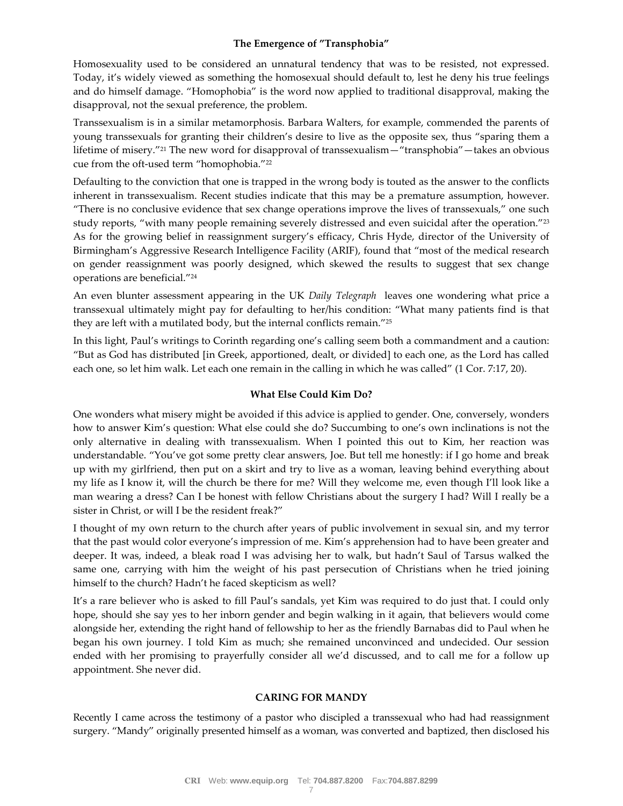# **The Emergence of "Transphobia"**

Homosexuality used to be considered an unnatural tendency that was to be resisted, not expressed. Today, it's widely viewed as something the homosexual should default to, lest he deny his true feelings and do himself damage. "Homophobia" is the word now applied to traditional disapproval, making the disapproval, not the sexual preference, the problem.

Transsexualism is in a similar metamorphosis. Barbara Walters, for example, commended the parents of young transsexuals for granting their children's desire to live as the opposite sex, thus "sparing them a lifetime of misery."<sup>21</sup> The new word for disapproval of transsexualism—"transphobia"—takes an obvious cue from the oft-used term "homophobia."<sup>22</sup>

Defaulting to the conviction that one is trapped in the wrong body is touted as the answer to the conflicts inherent in transsexualism. Recent studies indicate that this may be a premature assumption, however. "There is no conclusive evidence that sex change operations improve the lives of transsexuals," one such study reports, "with many people remaining severely distressed and even suicidal after the operation."<sup>23</sup> As for the growing belief in reassignment surgery's efficacy, Chris Hyde, director of the University of Birmingham's Aggressive Research Intelligence Facility (ARIF), found that "most of the medical research on gender reassignment was poorly designed, which skewed the results to suggest that sex change operations are beneficial."<sup>24</sup>

An even blunter assessment appearing in the UK *Daily Telegraph* leaves one wondering what price a transsexual ultimately might pay for defaulting to her/his condition: "What many patients find is that they are left with a mutilated body, but the internal conflicts remain."<sup>25</sup>

In this light, Paul's writings to Corinth regarding one's calling seem both a commandment and a caution: "But as God has distributed [in Greek, apportioned, dealt, or divided] to each one, as the Lord has called each one, so let him walk. Let each one remain in the calling in which he was called" (1 Cor. 7:17, 20).

# **What Else Could Kim Do?**

One wonders what misery might be avoided if this advice is applied to gender. One, conversely, wonders how to answer Kim's question: What else could she do? Succumbing to one's own inclinations is not the only alternative in dealing with transsexualism. When I pointed this out to Kim, her reaction was understandable. "You've got some pretty clear answers, Joe. But tell me honestly: if I go home and break up with my girlfriend, then put on a skirt and try to live as a woman, leaving behind everything about my life as I know it, will the church be there for me? Will they welcome me, even though I'll look like a man wearing a dress? Can I be honest with fellow Christians about the surgery I had? Will I really be a sister in Christ, or will I be the resident freak?"

I thought of my own return to the church after years of public involvement in sexual sin, and my terror that the past would color everyone's impression of me. Kim's apprehension had to have been greater and deeper. It was, indeed, a bleak road I was advising her to walk, but hadn't Saul of Tarsus walked the same one, carrying with him the weight of his past persecution of Christians when he tried joining himself to the church? Hadn't he faced skepticism as well?

It's a rare believer who is asked to fill Paul's sandals, yet Kim was required to do just that. I could only hope, should she say yes to her inborn gender and begin walking in it again, that believers would come alongside her, extending the right hand of fellowship to her as the friendly Barnabas did to Paul when he began his own journey. I told Kim as much; she remained unconvinced and undecided. Our session ended with her promising to prayerfully consider all we'd discussed, and to call me for a follow up appointment. She never did.

#### **CARING FOR MANDY**

Recently I came across the testimony of a pastor who discipled a transsexual who had had reassignment surgery. "Mandy" originally presented himself as a woman, was converted and baptized, then disclosed his